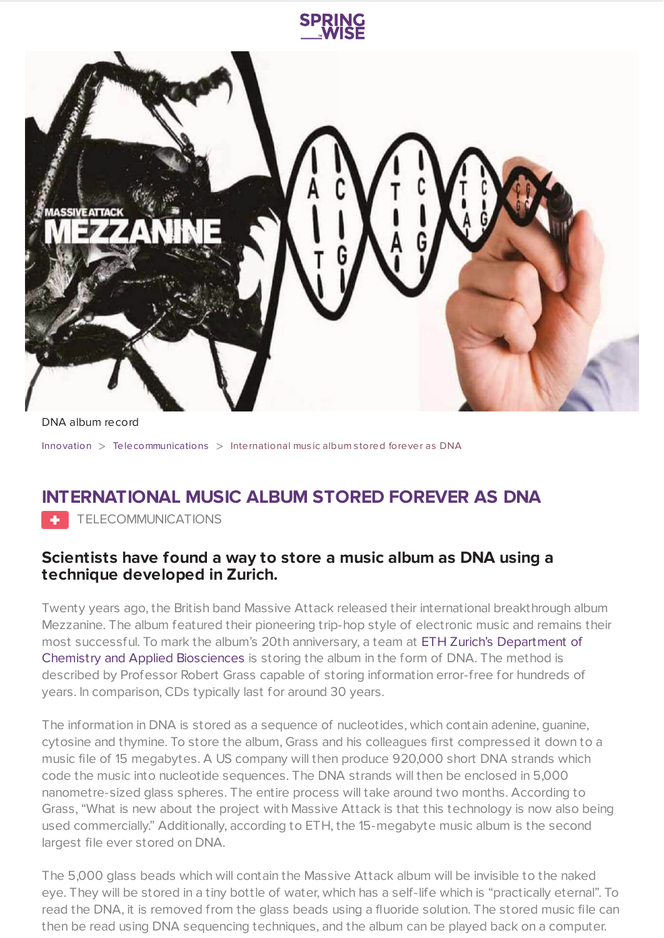

DNA album record

[Innovation](https://www.springwise.com/search?type=innovation) > [Telecommunications](https://www.springwise.com/search?type=innovation§or=telecoms-tech) > International music album stored forever as DNA

## **INTERNATIONAL MUSIC ALBUM STORED FOREVER AS DNA**

**TELECOMMUNICATIONS** 

## **Scientists have found a way to store a music album as DNA using a technique developed in Zurich.**

Twenty years ago, the British band Massive Attack released their international breakthrough album Mezzanine. The album featured their pioneering trip-hop style of electronic music and remains their most successful. To mark the album's 20th anniversary, a team at ETH Zurich's [Department](https://www.chab.ethz.ch/en/) of Chemistry and Applied Biosciences is storing the album in the form of DNA. The method is described by Professor Robert Grass capable of storing information error-free for hundreds of years. In comparison, CDs typically last for around 30 years.

The information in DNA is stored as a sequence of nucleotides, which contain adenine, guanine, cytosine and thymine. To store the album, Grass and his colleagues first compressed it down to a music file of 15 megabytes. A US company will then produce 920,000 short DNA strands which code the music into nucleotide sequences. The DNA strands will then be enclosed in 5,000 nanometre-sized glass spheres. The entire process will take around two months. According to Grass, "What is new about the project with Massive Attack is that this technology is now also being used commercially." Additionally, according to ETH, the 15-megabyte music album is the second largest file ever stored on DNA.

The 5,000 glass beads which will contain the Massive Attack album will be invisible to the naked eye. They will be stored in a tiny bottle of water, which has a self-life which is "practically eternal". To read the DNA, it is removed from the glass beads using a fluoride solution. The stored music file can then be read using DNA sequencing techniques, and the album can be played back on a computer.